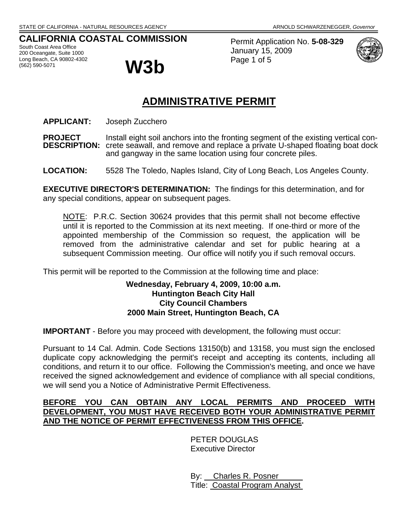## **CALIFORNIA COASTAL COMMISSION**

South Coast Area Office 200 Oceangate, Suite 1000 Long Beach, CA 90802-4302<br>(562) 590-5071



Permit Application No. **5-08-329** January 15, 2009 Page 1 of 5



# **ADMINISTRATIVE PERMIT**

**APPLICANT:** Joseph Zucchero

**PROJECT** Install eight soil anchors into the fronting segment of the existing vertical con-**DESCRIPTION:** crete seawall, and remove and replace a private U-shaped floating boat dock and gangway in the same location using four concrete piles.

**LOCATION:** 5528 The Toledo, Naples Island, City of Long Beach, Los Angeles County.

**EXECUTIVE DIRECTOR'S DETERMINATION:** The findings for this determination, and for any special conditions, appear on subsequent pages.

NOTE: P.R.C. Section 30624 provides that this permit shall not become effective until it is reported to the Commission at its next meeting. If one-third or more of the appointed membership of the Commission so request, the application will be removed from the administrative calendar and set for public hearing at a subsequent Commission meeting. Our office will notify you if such removal occurs.

This permit will be reported to the Commission at the following time and place:

#### **Wednesday, February 4, 2009, 10:00 a.m. Huntington Beach City Hall City Council Chambers 2000 Main Street, Huntington Beach, CA**

**IMPORTANT** - Before you may proceed with development, the following must occur:

Pursuant to 14 Cal. Admin. Code Sections 13150(b) and 13158, you must sign the enclosed duplicate copy acknowledging the permit's receipt and accepting its contents, including all conditions, and return it to our office. Following the Commission's meeting, and once we have received the signed acknowledgement and evidence of compliance with all special conditions, we will send you a Notice of Administrative Permit Effectiveness.

## **BEFORE YOU CAN OBTAIN ANY LOCAL PERMITS AND PROCEED WITH DEVELOPMENT, YOU MUST HAVE RECEIVED BOTH YOUR ADMINISTRATIVE PERMIT AND THE NOTICE OF PERMIT EFFECTIVENESS FROM THIS OFFICE.**

 PETER DOUGLAS Executive Director

 By: Charles R. Posner Title: Coastal Program Analyst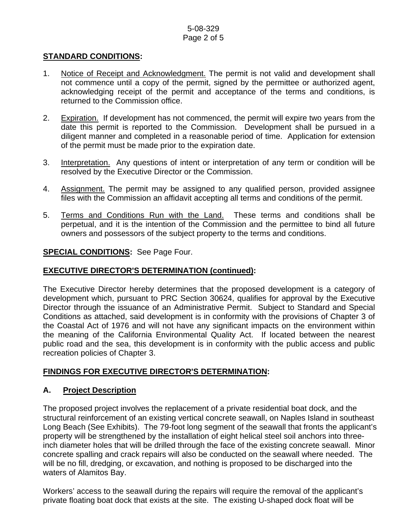## 5-08-329 Page 2 of 5

## **STANDARD CONDITIONS:**

- 1. Notice of Receipt and Acknowledgment. The permit is not valid and development shall not commence until a copy of the permit, signed by the permittee or authorized agent, acknowledging receipt of the permit and acceptance of the terms and conditions, is returned to the Commission office.
- 2. Expiration. If development has not commenced, the permit will expire two years from the date this permit is reported to the Commission. Development shall be pursued in a diligent manner and completed in a reasonable period of time. Application for extension of the permit must be made prior to the expiration date.
- 3. Interpretation. Any questions of intent or interpretation of any term or condition will be resolved by the Executive Director or the Commission.
- 4. Assignment. The permit may be assigned to any qualified person, provided assignee files with the Commission an affidavit accepting all terms and conditions of the permit.
- 5. Terms and Conditions Run with the Land. These terms and conditions shall be perpetual, and it is the intention of the Commission and the permittee to bind all future owners and possessors of the subject property to the terms and conditions.

## **SPECIAL CONDITIONS:** See Page Four.

## **EXECUTIVE DIRECTOR'S DETERMINATION (continued):**

The Executive Director hereby determines that the proposed development is a category of development which, pursuant to PRC Section 30624, qualifies for approval by the Executive Director through the issuance of an Administrative Permit. Subject to Standard and Special Conditions as attached, said development is in conformity with the provisions of Chapter 3 of the Coastal Act of 1976 and will not have any significant impacts on the environment within the meaning of the California Environmental Quality Act. If located between the nearest public road and the sea, this development is in conformity with the public access and public recreation policies of Chapter 3.

## **FINDINGS FOR EXECUTIVE DIRECTOR'S DETERMINATION:**

## **A. Project Description**

The proposed project involves the replacement of a private residential boat dock, and the structural reinforcement of an existing vertical concrete seawall, on Naples Island in southeast Long Beach (See Exhibits). The 79-foot long segment of the seawall that fronts the applicant's property will be strengthened by the installation of eight helical steel soil anchors into threeinch diameter holes that will be drilled through the face of the existing concrete seawall. Minor concrete spalling and crack repairs will also be conducted on the seawall where needed. The will be no fill, dredging, or excavation, and nothing is proposed to be discharged into the waters of Alamitos Bay.

Workers' access to the seawall during the repairs will require the removal of the applicant's private floating boat dock that exists at the site. The existing U-shaped dock float will be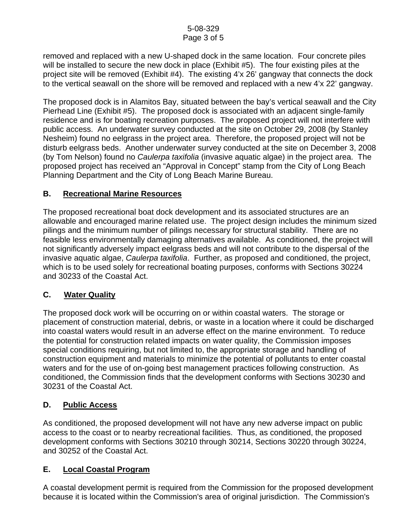removed and replaced with a new U-shaped dock in the same location. Four concrete piles will be installed to secure the new dock in place (Exhibit #5). The four existing piles at the project site will be removed (Exhibit #4). The existing 4'x 26' gangway that connects the dock to the vertical seawall on the shore will be removed and replaced with a new 4'x 22' gangway.

The proposed dock is in Alamitos Bay, situated between the bay's vertical seawall and the City Pierhead Line (Exhibit #5). The proposed dock is associated with an adjacent single-family residence and is for boating recreation purposes. The proposed project will not interfere with public access. An underwater survey conducted at the site on October 29, 2008 (by Stanley Nesheim) found no eelgrass in the project area. Therefore, the proposed project will not be disturb eelgrass beds. Another underwater survey conducted at the site on December 3, 2008 (by Tom Nelson) found no *Caulerpa taxifolia* (invasive aquatic algae) in the project area. The proposed project has received an "Approval in Concept" stamp from the City of Long Beach Planning Department and the City of Long Beach Marine Bureau.

## **B. Recreational Marine Resources**

The proposed recreational boat dock development and its associated structures are an allowable and encouraged marine related use. The project design includes the minimum sized pilings and the minimum number of pilings necessary for structural stability. There are no feasible less environmentally damaging alternatives available. As conditioned, the project will not significantly adversely impact eelgrass beds and will not contribute to the dispersal of the invasive aquatic algae, *Caulerpa taxifolia*. Further, as proposed and conditioned, the project, which is to be used solely for recreational boating purposes, conforms with Sections 30224 and 30233 of the Coastal Act.

## **C. Water Quality**

The proposed dock work will be occurring on or within coastal waters. The storage or placement of construction material, debris, or waste in a location where it could be discharged into coastal waters would result in an adverse effect on the marine environment. To reduce the potential for construction related impacts on water quality, the Commission imposes special conditions requiring, but not limited to, the appropriate storage and handling of construction equipment and materials to minimize the potential of pollutants to enter coastal waters and for the use of on-going best management practices following construction. As conditioned, the Commission finds that the development conforms with Sections 30230 and 30231 of the Coastal Act.

## **D. Public Access**

As conditioned, the proposed development will not have any new adverse impact on public access to the coast or to nearby recreational facilities. Thus, as conditioned, the proposed development conforms with Sections 30210 through 30214, Sections 30220 through 30224, and 30252 of the Coastal Act.

## **E. Local Coastal Program**

A coastal development permit is required from the Commission for the proposed development because it is located within the Commission's area of original jurisdiction. The Commission's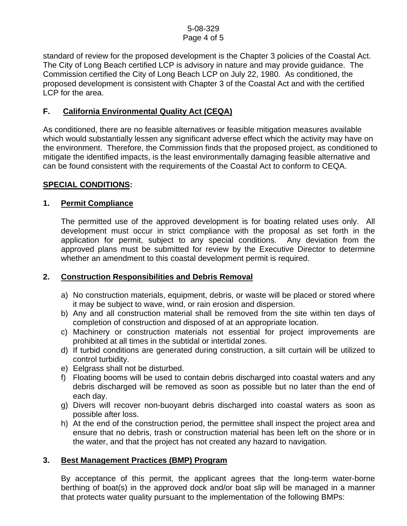standard of review for the proposed development is the Chapter 3 policies of the Coastal Act. The City of Long Beach certified LCP is advisory in nature and may provide guidance. The Commission certified the City of Long Beach LCP on July 22, 1980. As conditioned, the proposed development is consistent with Chapter 3 of the Coastal Act and with the certified LCP for the area.

## **F. California Environmental Quality Act (CEQA)**

As conditioned, there are no feasible alternatives or feasible mitigation measures available which would substantially lessen any significant adverse effect which the activity may have on the environment. Therefore, the Commission finds that the proposed project, as conditioned to mitigate the identified impacts, is the least environmentally damaging feasible alternative and can be found consistent with the requirements of the Coastal Act to conform to CEQA.

## **SPECIAL CONDITIONS:**

## **1. Permit Compliance**

 The permitted use of the approved development is for boating related uses only. All development must occur in strict compliance with the proposal as set forth in the application for permit, subject to any special conditions. Any deviation from the approved plans must be submitted for review by the Executive Director to determine whether an amendment to this coastal development permit is required.

## **2. Construction Responsibilities and Debris Removal**

- a) No construction materials, equipment, debris, or waste will be placed or stored where it may be subject to wave, wind, or rain erosion and dispersion.
- b) Any and all construction material shall be removed from the site within ten days of completion of construction and disposed of at an appropriate location.
- c) Machinery or construction materials not essential for project improvements are prohibited at all times in the subtidal or intertidal zones.
- d) If turbid conditions are generated during construction, a silt curtain will be utilized to control turbidity.
- e) Eelgrass shall not be disturbed.
- f) Floating booms will be used to contain debris discharged into coastal waters and any debris discharged will be removed as soon as possible but no later than the end of each day.
- g) Divers will recover non-buoyant debris discharged into coastal waters as soon as possible after loss.
- h) At the end of the construction period, the permittee shall inspect the project area and ensure that no debris, trash or construction material has been left on the shore or in the water, and that the project has not created any hazard to navigation.

## **3. Best Management Practices (BMP) Program**

By acceptance of this permit, the applicant agrees that the long-term water-borne berthing of boat(s) in the approved dock and/or boat slip will be managed in a manner that protects water quality pursuant to the implementation of the following BMPs: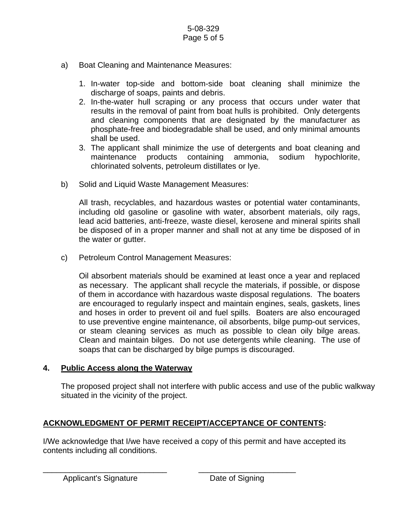- a) Boat Cleaning and Maintenance Measures:
	- 1. In-water top-side and bottom-side boat cleaning shall minimize the discharge of soaps, paints and debris.
	- 2. In-the-water hull scraping or any process that occurs under water that results in the removal of paint from boat hulls is prohibited. Only detergents and cleaning components that are designated by the manufacturer as phosphate-free and biodegradable shall be used, and only minimal amounts shall be used.
	- 3. The applicant shall minimize the use of detergents and boat cleaning and maintenance products containing ammonia, sodium hypochlorite, chlorinated solvents, petroleum distillates or lye.
- b) Solid and Liquid Waste Management Measures:

All trash, recyclables, and hazardous wastes or potential water contaminants, including old gasoline or gasoline with water, absorbent materials, oily rags, lead acid batteries, anti-freeze, waste diesel, kerosene and mineral spirits shall be disposed of in a proper manner and shall not at any time be disposed of in the water or gutter.

c) Petroleum Control Management Measures:

Oil absorbent materials should be examined at least once a year and replaced as necessary. The applicant shall recycle the materials, if possible, or dispose of them in accordance with hazardous waste disposal regulations. The boaters are encouraged to regularly inspect and maintain engines, seals, gaskets, lines and hoses in order to prevent oil and fuel spills. Boaters are also encouraged to use preventive engine maintenance, oil absorbents, bilge pump-out services, or steam cleaning services as much as possible to clean oily bilge areas. Clean and maintain bilges. Do not use detergents while cleaning. The use of soaps that can be discharged by bilge pumps is discouraged.

## **4. Public Access along the Waterway**

The proposed project shall not interfere with public access and use of the public walkway situated in the vicinity of the project.

## **ACKNOWLEDGMENT OF PERMIT RECEIPT/ACCEPTANCE OF CONTENTS:**

\_\_\_\_\_\_\_\_\_\_\_\_\_\_\_\_\_\_\_\_\_\_\_\_\_\_\_\_ \_\_\_\_\_\_\_\_\_\_\_\_\_\_\_\_\_\_\_\_\_\_

I/We acknowledge that I/we have received a copy of this permit and have accepted its contents including all conditions.

Applicant's Signature **Date of Signing**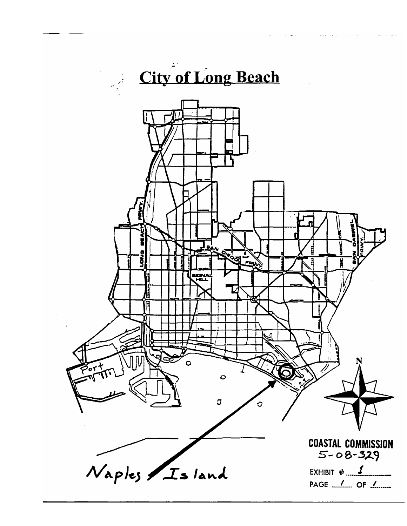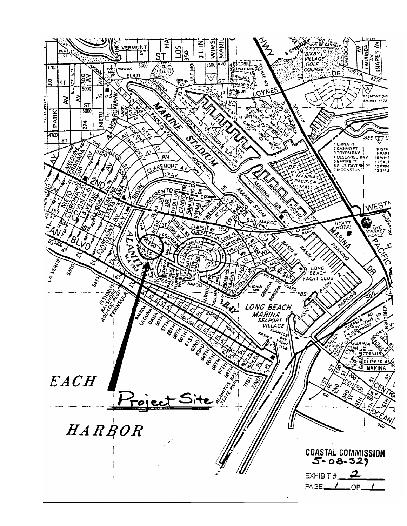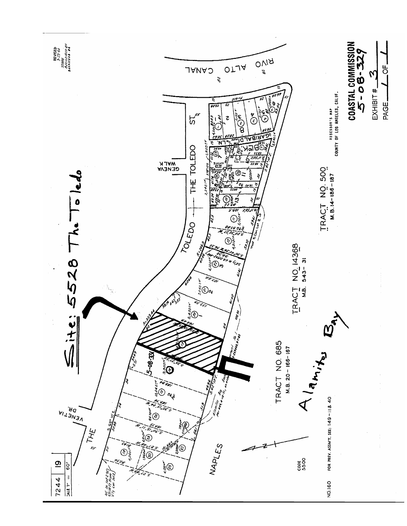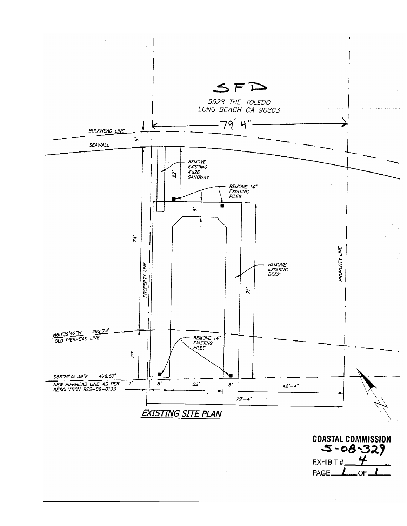